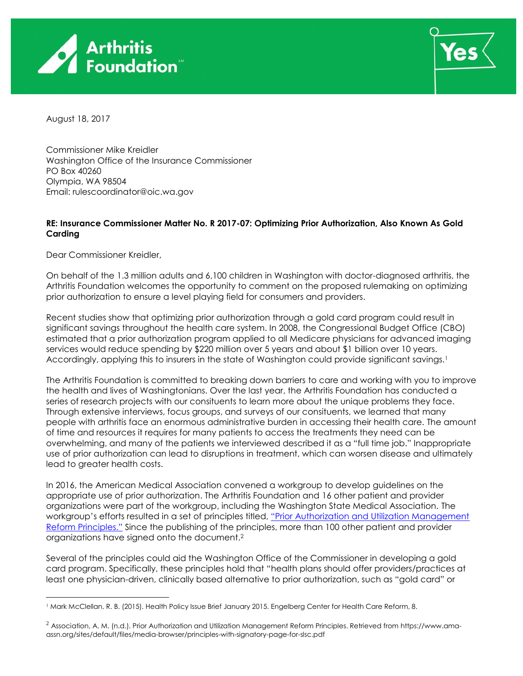

<span id="page-0-0"></span>

August 18, 2017

Commissioner Mike Kreidler Washington Office of the Insurance Commissioner PO Box 40260 Olympia, WA 98504 Email: rulescoordinator@oic.wa.gov

# **RE: Insurance Commissioner Matter No. R 2017-07: Optimizing Prior Authorization, Also Known As Gold Carding**

Dear Commissioner Kreidler,

On behalf of the 1.3 million adults and 6,100 children in Washington with doctor-diagnosed arthritis, the Arthritis Foundation welcomes the opportunity to comment on the proposed rulemaking on optimizing prior authorization to ensure a level playing field for consumers and providers.

Recent studies show that optimizing prior authorization through a gold card program could result in significant savings throughout the health care system. In 2008, the Congressional Budget Office (CBO) estimated that a prior authorization program applied to all Medicare physicians for advanced imaging services would reduce spending by \$220 million over 5 years and about \$1 billion over 10 years. Accordingly, applying this to insurers in the state of Washington could provide significant savings.<sup>1</sup>

The Arthritis Foundation is committed to breaking down barriers to care and working with you to improve the health and lives of Washingtonians. Over the last year, the Arthritis Foundation has conducted a series of research projects with our consituents to learn more about the unique problems they face. Through extensive interviews, focus groups, and surveys of our consituents, we learned that many people with arthritis face an enormous administrative burden in accessing their health care. The amount of time and resources it requires for many patients to access the treatments they need can be overwhelming, and many of the patients we interviewed described it as a "full time job." Inappropriate use of prior authorization can lead to disruptions in treatment, which can worsen disease and ultimately lead to greater health costs.

In 2016, the American Medical Association convened a workgroup to develop guidelines on the appropriate use of prior authorization. The Arthritis Foundation and 16 other patient and provider organizations were part of the workgroup, including the Washington State Medical Association. The workgroup's efforts resulted in a set of principles titled, "Prior Authorization and Utilization Management [Reform Principles."](https://www.ama-assn.org/sites/default/files/media-browser/principles-with-signatory-page-for-slsc.pdf) Since the publishing of the principles, more than 100 other patient and provider organizations have signed onto the document.<sup>2</sup>

Several of the principles could aid the Washington Office of the Commissioner in developing a gold card program. Specifically, these principles hold that "health plans should offer providers/practices at least one physician-driven, clinically based alternative to prior authorization, such as "gold card" or

 $\overline{a}$ <sup>1</sup> Mark McClellan, R. B. (2015). Health Policy Issue Brief January 2015. Engelberg Center for Health Care Reform, 8.

<sup>2</sup> Association, A. M. (n.d.). Prior Authorization and Utilization Management Reform Principles. Retrieved from https://www.amaassn.org/sites/default/files/media-browser/principles-with-signatory-page-for-slsc.pdf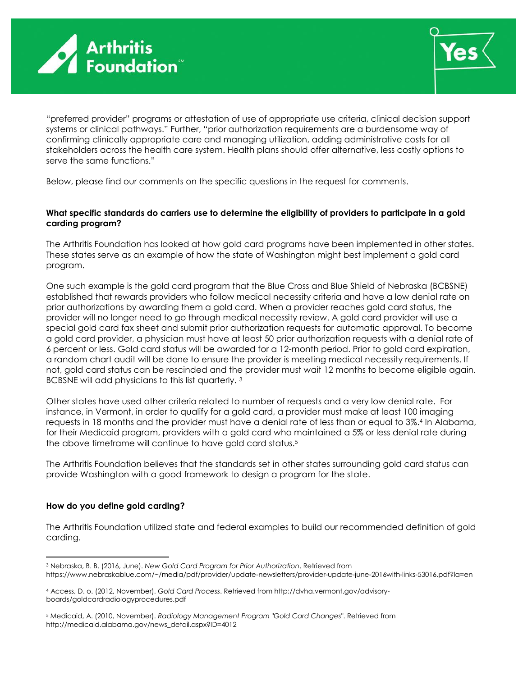



"preferred provider" programs or attestation of use of appropriate use criteria, clinical decision support systems or clinical pathways." Further, "prior authorization requirements are a burdensome way of confirming clinically appropriate care and managing utilization, adding administrative costs for all stakeholders across the health care system. Health plans should offer alternative, less costly options to serve the same functions."

Below, please find our comments on the specific questions in the request for comments.

## **What specific standards do carriers use to determine the eligibility of providers to participate in a gold carding program?**

The Arthritis Foundation has looked at how gold card programs have been implemented in other states. These states serve as an example of how the state of Washington might best implement a gold card program.

One such example is the gold card program that the Blue Cross and Blue Shield of Nebraska (BCBSNE) established that rewards providers who follow medical necessity criteria and have a low denial rate on prior authorizations by awarding them a gold card. When a provider reaches gold card status, the provider will no longer need to go through medical necessity review. A gold card provider will use a special gold card fax sheet and submit prior authorization requests for automatic approval. To become a gold card provider, a physician must have at least 50 prior authorization requests with a denial rate of 6 percent or less. Gold card status will be awarded for a 12-month period. Prior to gold card expiration, a random chart audit will be done to ensure the provider is meeting medical necessity requirements. If not, gold card status can be rescinded and the provider must wait 12 months to become eligible again. BCBSNE will add physicians to this list quarterly. <sup>3</sup>

<span id="page-1-0"></span>Other states have used other criteria related to number of requests and a very low denial rate. For instance, in Vermont, in order to qualify for a gold card, a provider must make at least 100 imaging requests in 18 months and the provider must have a denial rate of less than or equal to 3%.<sup>4</sup> In Alabama, for their Medicaid program, providers with a gold card who maintained a 5% or less denial rate during the above timeframe will continue to have gold card status.<sup>5</sup>

The Arthritis Foundation believes that the standards set in other states surrounding gold card status can provide Washington with a good framework to design a program for the state.

## **How do you define gold carding?**

 $\overline{a}$ 

The Arthritis Foundation utilized state and federal examples to build our recommended definition of gold carding.

<sup>3</sup> Nebraska, B. B. (2016, June). *New Gold Card Program for Prior Authorization*. Retrieved from https://www.nebraskablue.com/~/media/pdf/provider/update-newsletters/provider-update-june-2016with-links-53016.pdf?la=en

<sup>4</sup> Access, D. o. (2012, November). *Gold Card Process*. Retrieved from http://dvha.vermont.gov/advisoryboards/goldcardradiologyprocedures.pdf

<sup>5</sup> Medicaid, A. (2010, November). *Radiology Management Program "Gold Card Changes"*. Retrieved from http://medicaid.alabama.gov/news\_detail.aspx?ID=4012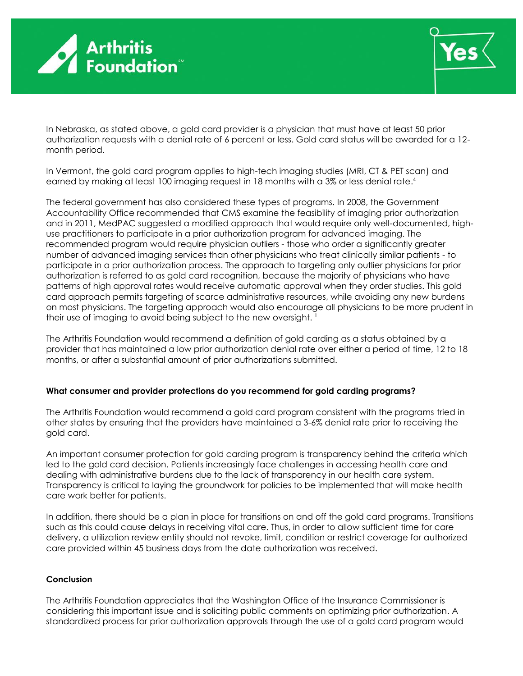



In Nebraska, as stated above, a gold card provider is a physician that must have at least 50 prior authorization requests with a denial rate of 6 percent or less. Gold card status will be awarded for a 12 month period.

In Vermont, the gold card program applies to high-tech imaging studies (MRI, CT & PET scan) and earned by making at least 100 imaging request in 18 months with a 3% or less denial rate[.](#page-1-0) 4

The federal government has also considered these types of programs. In 2008, the Government Accountability Office recommended that CMS examine the feasibility of imaging prior authorization and in 2011, MedPAC suggested a modified approach that would require only well-documented, highuse practitioners to participate in a prior authorization program for advanced imaging. The recommended program would require physician outliers - those who order a significantly greater number of advanced imaging services than other physicians who treat clinically similar patients - to participate in a prior authorization process. The approach to targeting only outlier physicians for prior authorization is referred to as gold card recognition, because the majority of physicians who have patterns of high approval rates would receive automatic approval when they order studies. This gold card approach permits targeting of scarce administrative resources, while avoiding any new burdens on most physicians. The targeting approach would also encourage all physicians to be more prudent in their use of imaging to avoid being subject to the new oversight.  $1$ 

The Arthritis Foundation would recommend a definition of gold carding as a status obtained by a provider that has maintained a low prior authorization denial rate over either a period of time, 12 to 18 months, or after a substantial amount of prior authorizations submitted.

## **What consumer and provider protections do you recommend for gold carding programs?**

The Arthritis Foundation would recommend a gold card program consistent with the programs tried in other states by ensuring that the providers have maintained a 3-6% denial rate prior to receiving the gold card.

An important consumer protection for gold carding program is transparency behind the criteria which led to the gold card decision. Patients increasingly face challenges in accessing health care and dealing with administrative burdens due to the lack of transparency in our health care system. Transparency is critical to laying the groundwork for policies to be implemented that will make health care work better for patients.

In addition, there should be a plan in place for transitions on and off the gold card programs. Transitions such as this could cause delays in receiving vital care. Thus, in order to allow sufficient time for care delivery, a utilization review entity should not revoke, limit, condition or restrict coverage for authorized care provided within 45 business days from the date authorization was received.

## **Conclusion**

The Arthritis Foundation appreciates that the Washington Office of the Insurance Commissioner is considering this important issue and is soliciting public comments on optimizing prior authorization. A standardized process for prior authorization approvals through the use of a gold card program would